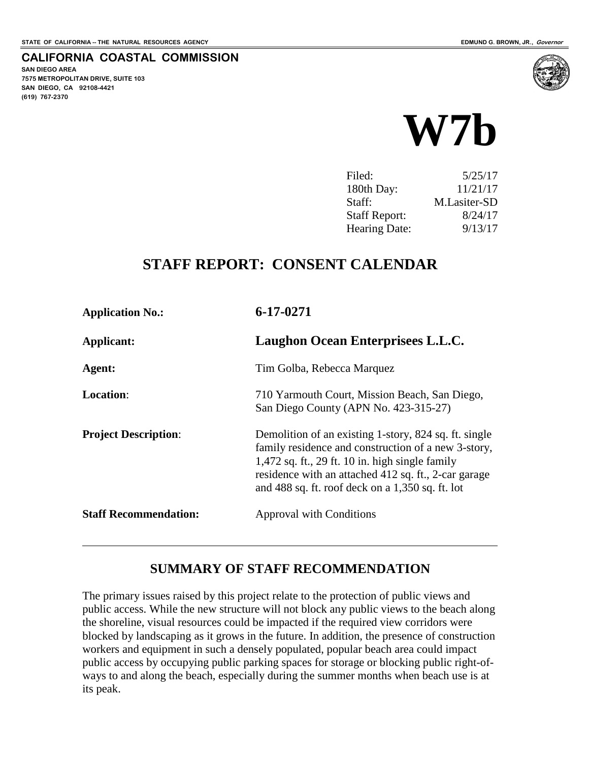**SAN DIEGO AREA**

**(619) 767-2370**

**7575 METROPOLITAN DRIVE, SUITE 103 SAN DIEGO, CA 92108-4421**

 $\overline{a}$ 

**CALIFORNIA COASTAL COMMISSION**



| Filed:               | 5/25/17      |
|----------------------|--------------|
| 180th Day:           | 11/21/17     |
| Staff:               | M.Lasiter-SD |
| <b>Staff Report:</b> | 8/24/17      |
| <b>Hearing Date:</b> | 9/13/17      |

## **STAFF REPORT: CONSENT CALENDAR**

| <b>Application No.:</b>      | 6-17-0271                                                                                                                                                                                                                                                                       |
|------------------------------|---------------------------------------------------------------------------------------------------------------------------------------------------------------------------------------------------------------------------------------------------------------------------------|
| Applicant:                   | Laughon Ocean Enterprisees L.L.C.                                                                                                                                                                                                                                               |
| Agent:                       | Tim Golba, Rebecca Marquez                                                                                                                                                                                                                                                      |
| <b>Location:</b>             | 710 Yarmouth Court, Mission Beach, San Diego,<br>San Diego County (APN No. 423-315-27)                                                                                                                                                                                          |
| <b>Project Description:</b>  | Demolition of an existing 1-story, 824 sq. ft. single<br>family residence and construction of a new 3-story,<br>$1,472$ sq. ft., 29 ft. 10 in. high single family<br>residence with an attached 412 sq. ft., 2-car garage<br>and 488 sq. ft. roof deck on a $1,350$ sq. ft. lot |
| <b>Staff Recommendation:</b> | Approval with Conditions                                                                                                                                                                                                                                                        |

### **SUMMARY OF STAFF RECOMMENDATION**

The primary issues raised by this project relate to the protection of public views and public access. While the new structure will not block any public views to the beach along the shoreline, visual resources could be impacted if the required view corridors were blocked by landscaping as it grows in the future. In addition, the presence of construction workers and equipment in such a densely populated, popular beach area could impact public access by occupying public parking spaces for storage or blocking public right-ofways to and along the beach, especially during the summer months when beach use is at its peak.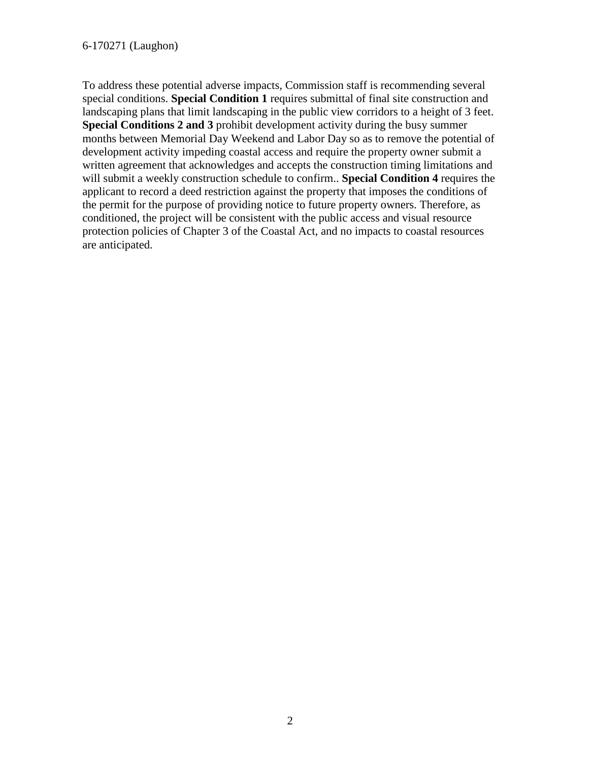To address these potential adverse impacts, Commission staff is recommending several special conditions. **Special Condition 1** requires submittal of final site construction and landscaping plans that limit landscaping in the public view corridors to a height of 3 feet. **Special Conditions 2 and 3** prohibit development activity during the busy summer months between Memorial Day Weekend and Labor Day so as to remove the potential of development activity impeding coastal access and require the property owner submit a written agreement that acknowledges and accepts the construction timing limitations and will submit a weekly construction schedule to confirm.. **Special Condition 4** requires the applicant to record a deed restriction against the property that imposes the conditions of the permit for the purpose of providing notice to future property owners. Therefore, as conditioned, the project will be consistent with the public access and visual resource protection policies of Chapter 3 of the Coastal Act, and no impacts to coastal resources are anticipated.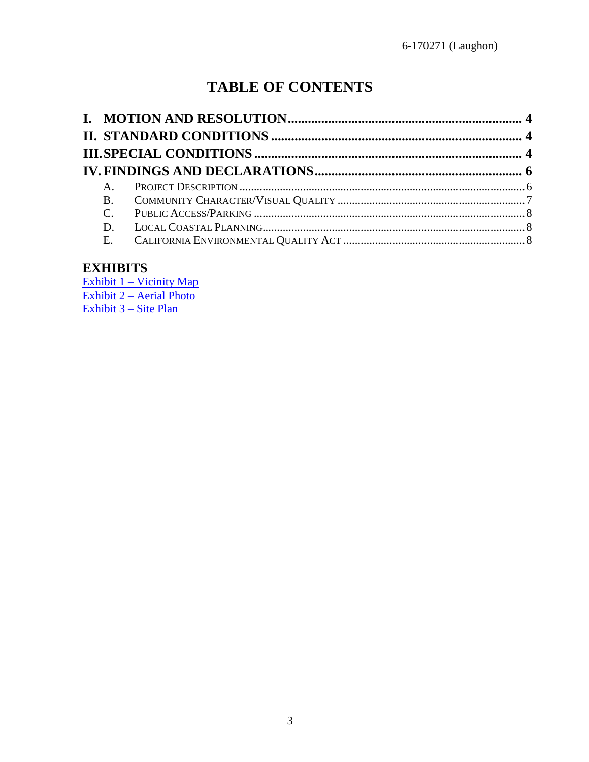# **TABLE OF CONTENTS**

| $A_{1}$ |  |
|---------|--|
|         |  |
|         |  |
|         |  |
|         |  |

## **EXHIBITS**

[Exhibit 1 – Vicinity Map](https://documents.coastal.ca.gov/reports/2017/9/w7b/w7b-9-2017-exhibits.pdf) [Exhibit 2 – Aerial Photo](https://documents.coastal.ca.gov/reports/2017/9/w7b/w7b-9-2017-exhibits.pdf) [Exhibit 3 – Site Plan](https://documents.coastal.ca.gov/reports/2017/9/w7b/w7b-9-2017-exhibits.pdf)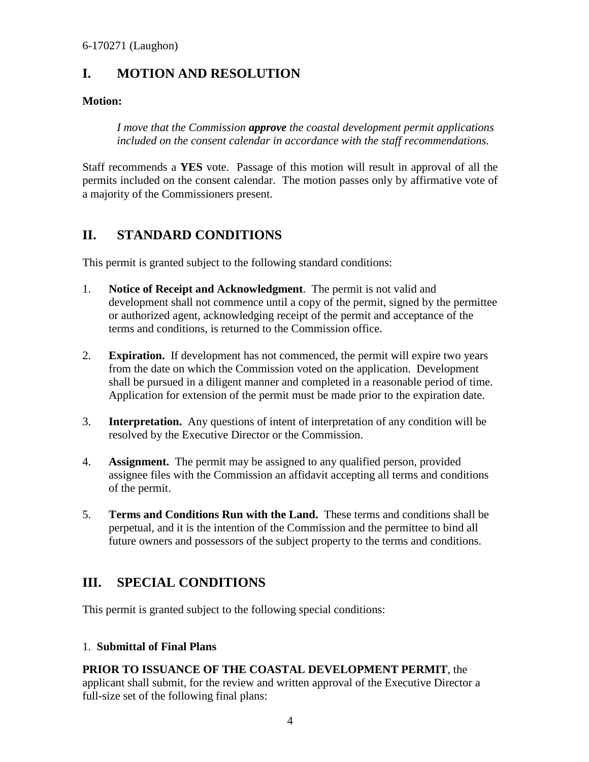## <span id="page-3-0"></span>**I. MOTION AND RESOLUTION**

#### **Motion:**

*I move that the Commission approve the coastal development permit applications included on the consent calendar in accordance with the staff recommendations.* 

Staff recommends a **YES** vote. Passage of this motion will result in approval of all the permits included on the consent calendar. The motion passes only by affirmative vote of a majority of the Commissioners present.

## <span id="page-3-1"></span>**II. STANDARD CONDITIONS**

This permit is granted subject to the following standard conditions:

- 1. **Notice of Receipt and Acknowledgment**. The permit is not valid and development shall not commence until a copy of the permit, signed by the permittee or authorized agent, acknowledging receipt of the permit and acceptance of the terms and conditions, is returned to the Commission office.
- 2. **Expiration.** If development has not commenced, the permit will expire two years from the date on which the Commission voted on the application. Development shall be pursued in a diligent manner and completed in a reasonable period of time. Application for extension of the permit must be made prior to the expiration date.
- 3. **Interpretation.** Any questions of intent of interpretation of any condition will be resolved by the Executive Director or the Commission.
- 4. **Assignment.** The permit may be assigned to any qualified person, provided assignee files with the Commission an affidavit accepting all terms and conditions of the permit.
- 5. **Terms and Conditions Run with the Land.** These terms and conditions shall be perpetual, and it is the intention of the Commission and the permittee to bind all future owners and possessors of the subject property to the terms and conditions.

## <span id="page-3-2"></span>**III. SPECIAL CONDITIONS**

This permit is granted subject to the following special conditions:

#### 1. **Submittal of Final Plans**

## **PRIOR TO ISSUANCE OF THE COASTAL DEVELOPMENT PERMIT**, the

applicant shall submit, for the review and written approval of the Executive Director a full-size set of the following final plans: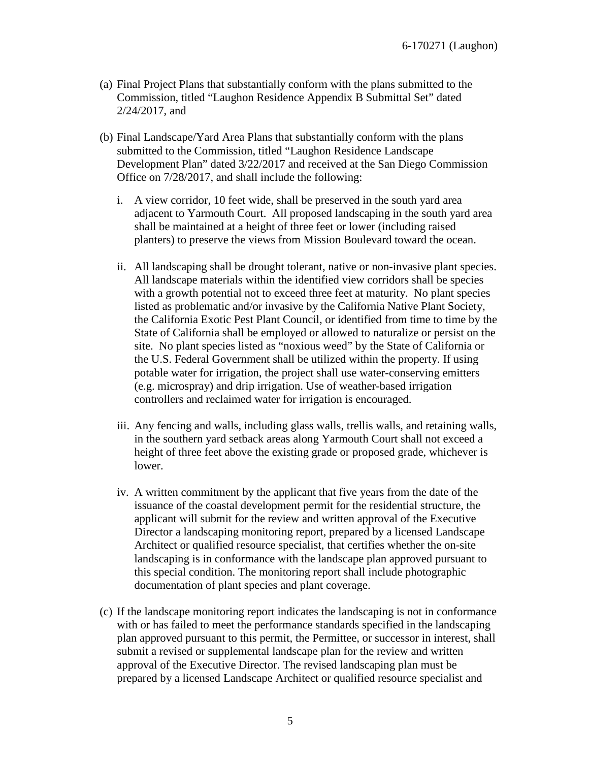- (a) Final Project Plans that substantially conform with the plans submitted to the Commission, titled "Laughon Residence Appendix B Submittal Set" dated 2/24/2017, and
- (b) Final Landscape/Yard Area Plans that substantially conform with the plans submitted to the Commission, titled "Laughon Residence Landscape Development Plan" dated 3/22/2017 and received at the San Diego Commission Office on 7/28/2017, and shall include the following:
	- i. A view corridor, 10 feet wide, shall be preserved in the south yard area adjacent to Yarmouth Court. All proposed landscaping in the south yard area shall be maintained at a height of three feet or lower (including raised planters) to preserve the views from Mission Boulevard toward the ocean.
	- ii. All landscaping shall be drought tolerant, native or non-invasive plant species. All landscape materials within the identified view corridors shall be species with a growth potential not to exceed three feet at maturity. No plant species listed as problematic and/or invasive by the California Native Plant Society, the California Exotic Pest Plant Council, or identified from time to time by the State of California shall be employed or allowed to naturalize or persist on the site. No plant species listed as "noxious weed" by the State of California or the U.S. Federal Government shall be utilized within the property. If using potable water for irrigation, the project shall use water-conserving emitters (e.g. microspray) and drip irrigation. Use of weather-based irrigation controllers and reclaimed water for irrigation is encouraged.
	- iii. Any fencing and walls, including glass walls, trellis walls, and retaining walls, in the southern yard setback areas along Yarmouth Court shall not exceed a height of three feet above the existing grade or proposed grade, whichever is lower.
	- iv. A written commitment by the applicant that five years from the date of the issuance of the coastal development permit for the residential structure, the applicant will submit for the review and written approval of the Executive Director a landscaping monitoring report, prepared by a licensed Landscape Architect or qualified resource specialist, that certifies whether the on-site landscaping is in conformance with the landscape plan approved pursuant to this special condition. The monitoring report shall include photographic documentation of plant species and plant coverage.
- (c) If the landscape monitoring report indicates the landscaping is not in conformance with or has failed to meet the performance standards specified in the landscaping plan approved pursuant to this permit, the Permittee, or successor in interest, shall submit a revised or supplemental landscape plan for the review and written approval of the Executive Director. The revised landscaping plan must be prepared by a licensed Landscape Architect or qualified resource specialist and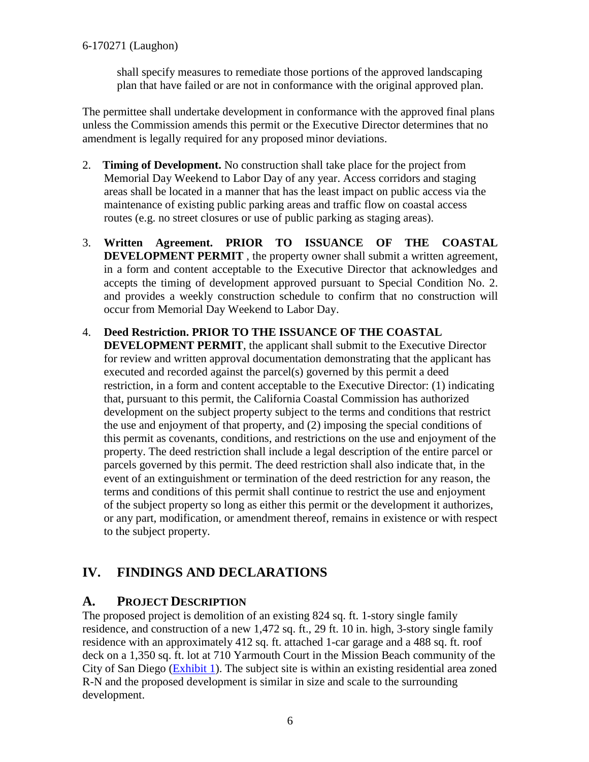shall specify measures to remediate those portions of the approved landscaping plan that have failed or are not in conformance with the original approved plan.

The permittee shall undertake development in conformance with the approved final plans unless the Commission amends this permit or the Executive Director determines that no amendment is legally required for any proposed minor deviations.

- 2. **Timing of Development.** No construction shall take place for the project from Memorial Day Weekend to Labor Day of any year. Access corridors and staging areas shall be located in a manner that has the least impact on public access via the maintenance of existing public parking areas and traffic flow on coastal access routes (e.g. no street closures or use of public parking as staging areas).
- 3. **Written Agreement. PRIOR TO ISSUANCE OF THE COASTAL DEVELOPMENT PERMIT**, the property owner shall submit a written agreement, in a form and content acceptable to the Executive Director that acknowledges and accepts the timing of development approved pursuant to Special Condition No. 2. and provides a weekly construction schedule to confirm that no construction will occur from Memorial Day Weekend to Labor Day.
- 4. **Deed Restriction. PRIOR TO THE ISSUANCE OF THE COASTAL DEVELOPMENT PERMIT**, the applicant shall submit to the Executive Director for review and written approval documentation demonstrating that the applicant has executed and recorded against the parcel(s) governed by this permit a deed restriction, in a form and content acceptable to the Executive Director: (1) indicating that, pursuant to this permit, the California Coastal Commission has authorized development on the subject property subject to the terms and conditions that restrict the use and enjoyment of that property, and (2) imposing the special conditions of this permit as covenants, conditions, and restrictions on the use and enjoyment of the property. The deed restriction shall include a legal description of the entire parcel or parcels governed by this permit. The deed restriction shall also indicate that, in the event of an extinguishment or termination of the deed restriction for any reason, the terms and conditions of this permit shall continue to restrict the use and enjoyment of the subject property so long as either this permit or the development it authorizes, or any part, modification, or amendment thereof, remains in existence or with respect to the subject property.

## <span id="page-5-0"></span>**IV. FINDINGS AND DECLARATIONS**

## <span id="page-5-1"></span>**A. PROJECT DESCRIPTION**

The proposed project is demolition of an existing 824 sq. ft. 1-story single family residence, and construction of a new 1,472 sq. ft., 29 ft. 10 in. high, 3-story single family residence with an approximately 412 sq. ft. attached 1-car garage and a 488 sq. ft. roof deck on a 1,350 sq. ft. lot at 710 Yarmouth Court in the Mission Beach community of the City of San Diego [\(Exhibit 1\)](https://documents.coastal.ca.gov/reports/2017/9/w7b/w7b-9-2017-exhibits.pdf). The subject site is within an existing residential area zoned R-N and the proposed development is similar in size and scale to the surrounding development.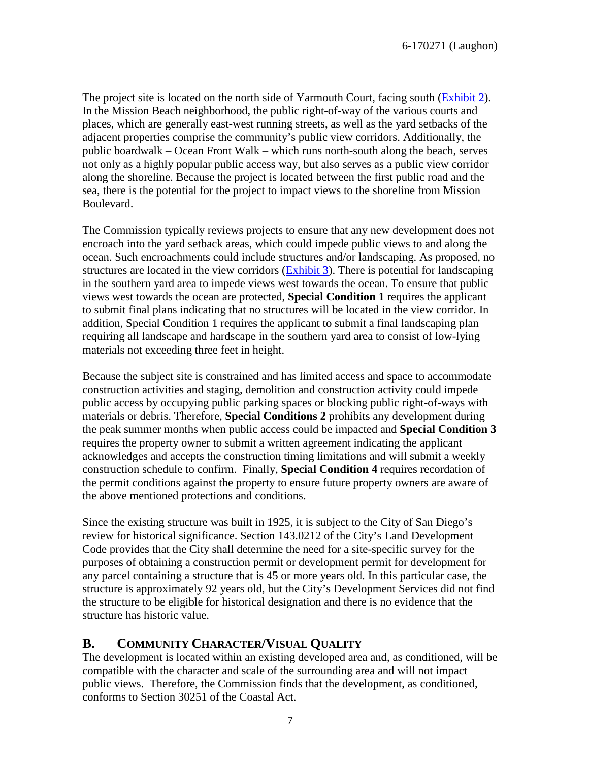The project site is located on the north side of Yarmouth Court, facing south [\(Exhibit 2\)](https://documents.coastal.ca.gov/reports/2017/9/w7b/w7b-9-2017-exhibits.pdf). In the Mission Beach neighborhood, the public right-of-way of the various courts and places, which are generally east-west running streets, as well as the yard setbacks of the adjacent properties comprise the community's public view corridors. Additionally, the public boardwalk – Ocean Front Walk – which runs north-south along the beach, serves not only as a highly popular public access way, but also serves as a public view corridor along the shoreline. Because the project is located between the first public road and the sea, there is the potential for the project to impact views to the shoreline from Mission Boulevard.

The Commission typically reviews projects to ensure that any new development does not encroach into the yard setback areas, which could impede public views to and along the ocean. Such encroachments could include structures and/or landscaping. As proposed, no structures are located in the view corridors [\(Exhibit 3\)](https://documents.coastal.ca.gov/reports/2017/9/w7b/w7b-9-2017-exhibits.pdf). There is potential for landscaping in the southern yard area to impede views west towards the ocean. To ensure that public views west towards the ocean are protected, **Special Condition 1** requires the applicant to submit final plans indicating that no structures will be located in the view corridor. In addition, Special Condition 1 requires the applicant to submit a final landscaping plan requiring all landscape and hardscape in the southern yard area to consist of low-lying materials not exceeding three feet in height.

Because the subject site is constrained and has limited access and space to accommodate construction activities and staging, demolition and construction activity could impede public access by occupying public parking spaces or blocking public right-of-ways with materials or debris. Therefore, **Special Conditions 2** prohibits any development during the peak summer months when public access could be impacted and **Special Condition 3** requires the property owner to submit a written agreement indicating the applicant acknowledges and accepts the construction timing limitations and will submit a weekly construction schedule to confirm. Finally, **Special Condition 4** requires recordation of the permit conditions against the property to ensure future property owners are aware of the above mentioned protections and conditions.

Since the existing structure was built in 1925, it is subject to the City of San Diego's review for historical significance. Section 143.0212 of the City's Land Development Code provides that the City shall determine the need for a site-specific survey for the purposes of obtaining a construction permit or development permit for development for any parcel containing a structure that is 45 or more years old. In this particular case, the structure is approximately 92 years old, but the City's Development Services did not find the structure to be eligible for historical designation and there is no evidence that the structure has historic value.

#### <span id="page-6-0"></span>**B. COMMUNITY CHARACTER/VISUAL QUALITY**

The development is located within an existing developed area and, as conditioned, will be compatible with the character and scale of the surrounding area and will not impact public views. Therefore, the Commission finds that the development, as conditioned, conforms to Section 30251 of the Coastal Act.